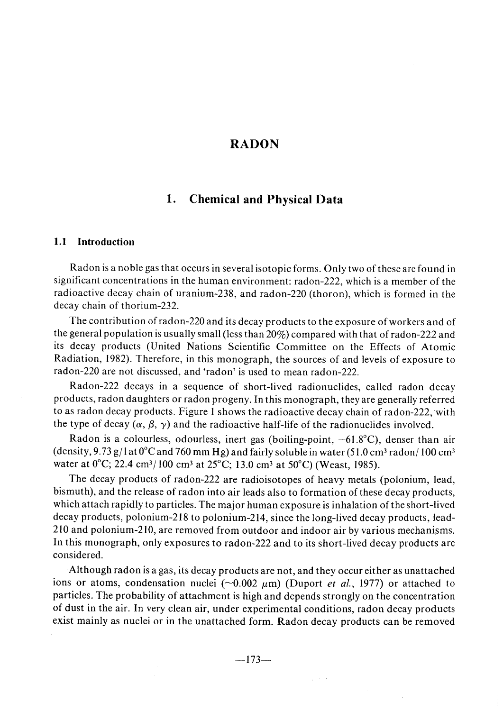## RADON

# 1. Chemical and Physical Data

#### 1.1 Introduction

Radon is a noble gas that occurs in several isotopic forms. Only two of these are found in significant concentrations in the human environment: radon-222, which is a member of the radioactive decay chain of uranium-238, and radon-220 (thoron), which is formed in the decay chain of thorium-232.

The contribution of radon-220 and its decay products to the exposure of workers and of the general population is usually small (less than  $20\%$ ) compared with that of radon-222 and its decay products (United Nations Scientific Committee on the Effects of Atomic Radiation, 1982). Therefore, in this monograph, the sources of and levels of exposure to radon-220 are not discussed, and 'radon' is used to mean radon-222.

Radon-222 decays in a sequence of short-lived radionuclides, called radon decay products, radon daughters or radon progeny. ln this monograph, they are generally referred to as radon decay products. Figure 1 shows the radioactive decay chain of radon-222, with the type of decay  $(\alpha, \beta, \gamma)$  and the radioactive half-life of the radionuclides involved.

Radon is a colourless, odourless, inert gas (boiling-point,  $-61.8^{\circ}$ C), denser than air (density, 9.73 g/l at  $0^{\circ}$ C and 760 mm Hg) and fairly soluble in water (51.0 cm<sup>3</sup> radon/100 cm<sup>3</sup> water at  $0^{\circ}$ C; 22.4 cm<sup>3</sup>/100 cm<sup>3</sup> at 25<sup>o</sup>C; 13.0 cm<sup>3</sup> at 50<sup>o</sup>C) (Weast, 1985).

The decay products of radon-222 are radioisotopes of heavy metals (polonium, lead, bismuth), and the release of radon into air leads also to formation of these decay products, which attach rapidly to particles. The major human exposure is inhalation of the short-lived decay products, polonium-218 to polonium-214, since the long-lived decay products, lead-210 and polonium-2l0, are removed from outdoor and indoor air by various mechanisms. ln this monograph, only exposures to radon-222 and to its short-lived decay products are considered.

Although radon is agas, its decay products are not, and they occur either as unattached ions or atoms, condensation nuclei ( $\sim$ 0.002  $\mu$ m) (Duport *et al.*, 1977) or attached to particles. The probability of attachment is high and depends strongly on the concentration of dust in the air. ln very clean air, under experimental conditions, radon decay products exist mainly as nuclei or in the unattached form. Radon decay products can be removed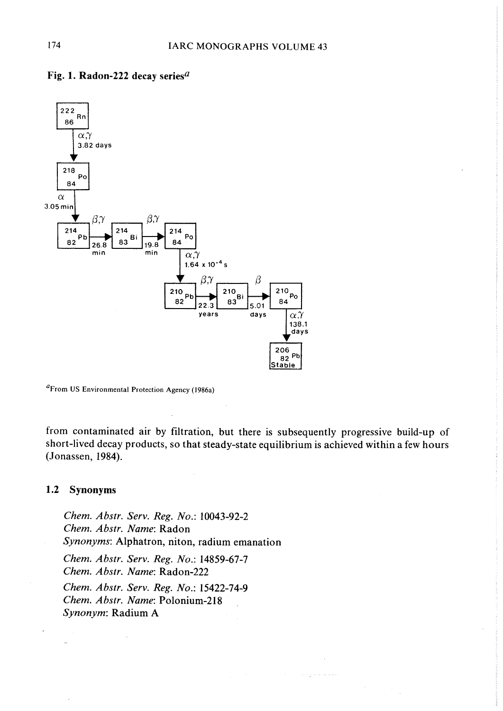

#### Fig. 1. Radon-222 decay series $a$

aFrom US Environmental Protection Agency (I986a)

from contaminated air by filtration, but there is subsequently progressive build-up of short-lived decay products, so that steady-state equilibrium is achieved within a few hours (Jonassen, 1984).

## 1.2 Synonyms

Chem. Abstr. Serv. Reg. No.: 10043-92-2 Chem. Abstr. Name: Radon Synonyms: Alphatron, niton, radium emanation Chem. Abstr. Serv. Reg. No.: 14859-67-7 Chem. Abstr. Name: Radon-222 Chem. Abstr. Serv. Reg. No.: 15422-74-9 Chem. Abstr. Name: Polonium-218 Synonym: Radium A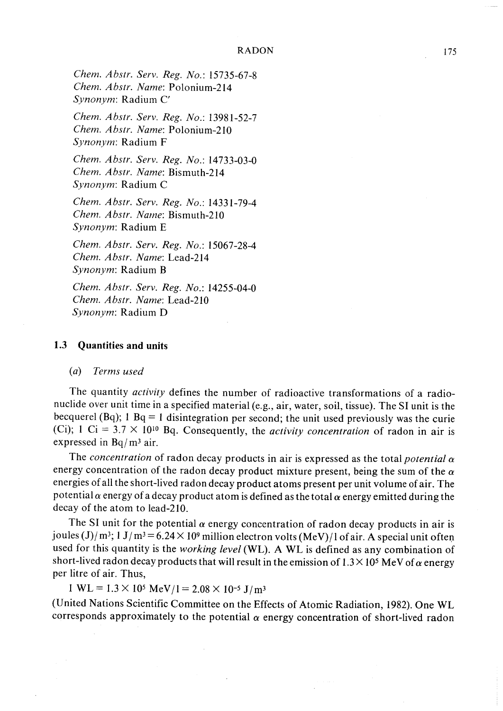Chem. Abstr. Serv. Reg. No.: 15735-67-8 Chem. Abstr. Name: Polonium-214 Synonym: Radium C'

Chem. Abstr. Serv. Reg. No.: 13981-52-7 Chem. Abstr. Name: Polonium-21O Synonym: Radium F

Chem. Abstr. Serv. Reg. No.: 14733-03-0 Chem. Abstr. Name: Bismuth-214 Synonym: Radium C

Chem. Abstr. Serv. Reg. No.: 14331-79-4 Chem. Abstr. Name: Bismuth-2l0 Synonym: Radium E

Chem. Abstr. Serv. Reg. No.: 15067-28-4 Chem. Abstr. Name: Lead-2l4 Synonym: Radium B

Chem. Abstr. Serv. Reg. No.: 14255-04-0 Chem. Abstr. Name: Lead-21O Synonym: Radium D

## 1.3 Quantities and units

(a) Terms used

The quantity *activity* defines the number of radioactive transformations of a radionuclide over unit time in a specified material (e.g., air, water, soil, tissue). The SI unit is the becquerel (Bq);  $1$  Bq = 1 disintegration per second; the unit used previously was the curie (Ci); 1 Ci =  $3.7 \times 10^{10}$  Bq. Consequently, the *activity concentration* of radon in air is expressed in  $Bq/m^3$  air.

The concentration of radon decay products in air is expressed as the total potential  $\alpha$ energy concentration of the radon decay product mixture present, being the sum of the  $\alpha$ energies of all the short-lived radon decay product atoms present per unit volume of air. The potential  $\alpha$  energy of a decay product atom is defined as the total  $\alpha$  energy emitted during the decay of the atom to lead-21O.

The SI unit for the potential  $\alpha$  energy concentration of radon decay products in air is joules  $(J)/m^3$ ;  $1 J/m^3 = 6.24 \times 10^9$  million electron volts (MeV)/l of air. A special unit often used for this quantity is the working level (WL). A WL is defined as any combination of short-lived radon decay products that will result in the emission of  $1.3 \times 10^5$  MeV of  $\alpha$  energy per litre of air. Thus,

 $1 \text{ WL} = 1.3 \times 10^5 \text{ MeV}/1 = 2.08 \times 10^{-5} \text{ J}/\text{m}^3$ 

(United Nations Scientific Committee on the Effects of Atomic Radiation, 1982). One WL corresponds approximately to the potential  $\alpha$  energy concentration of short-lived radon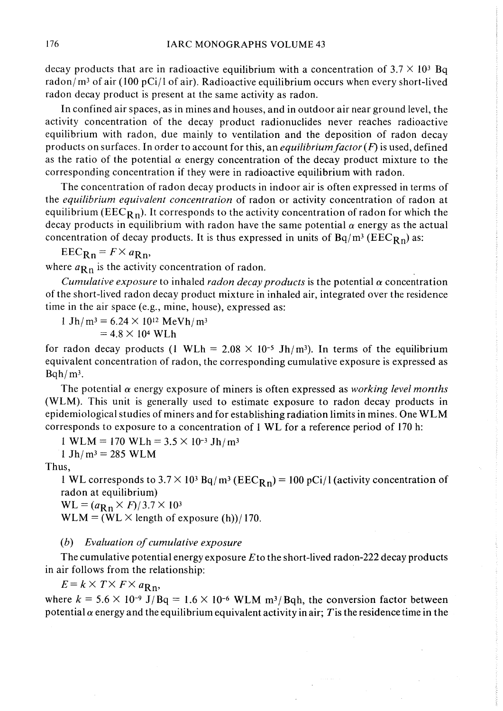decay products that are in radioactive equilibrium with a concentration of  $3.7 \times 10^3$  Bq radon/ $m<sup>3</sup>$  of air (100 pCi/l of air). Radioactive equilibrium occurs when every short-lived radon decay product is present at the same activity as radon.

ln confined air spaces, as in mines and houses, and in outdoor air near ground level, the activity concentration of the decay product radionuclides never reaches radioactive equilibrium with radon, due mainly to ventilation and the deposition of radon decay products on surfaces. In order to account for this, an *equilibrium factor*  $(F)$  is used, defined as the ratio of the potential  $\alpha$  energy concentration of the decay product mixture to the corresponding concentration if they were in radioactive equilibrium with radon.

The concentration of radon decay products in indoor air is often expressed in terms of the equilibrium equivalent concentration of radon or activity concentration of radon at equilibrium (EEC<sub>Rn</sub>). It corresponds to the activity concentration of radon for which the decay products in equilibrium with radon have the same potential  $\alpha$  energy as the actual concentration of decay products. It is thus expressed in units of  $Bq/m^3$  (EEC<sub>Rn</sub>) as:

 $EEC_{Rn} = F \times a_{Rn}$ 

where  $a_{\mathbf{R}n}$  is the activity concentration of radon.

Cumulative exposure to inhaled radon decay products is the potential  $\alpha$  concentration of the short-lived radon decay product mixture in inhaled air, integrated over the residence time in the air space (e.g., mine, house), expressed as:

 $1 \text{ Jh/m}^3 = 6.24 \times 10^{12} \text{ MeV} \text{h/m}^3$  $= 4.8 \times 10^{4}$  WLh

for radon decay products (1 WLh =  $2.08 \times 10^{-5}$  Jh/m<sup>3</sup>). In terms of the equilibrium equivalent concentration of radon, the corresponding cumulative exposure is expressed as  $Bqh/m<sup>3</sup>$ .

The potential  $\alpha$  energy exposure of miners is often expressed as working level months (WLM). This unit is generally used to estimate exposure to radon decay products in epidemiological studies of miners and for establishing radiation limits in mines. One WLM corresponds to exposure to a concentration of 1 WL for a reference period of 170 h:

1 WLM = 170 WLh =  $3.5 \times 10^{-3}$  Jh/m<sup>3</sup>

 $1 \text{ Jh}/\text{m}^3 = 285 \text{ WLM}$ 

Thus,

1 WL corresponds to  $3.7 \times 10^3$  Bq/m<sup>3</sup> (EEC<sub>Rn</sub>) = 100 pCi/l (activity concentration of radon at equilibrium)

 $WL = (a_{Rn} \times F)/3.7 \times 10^{3}$ 

 $WLM = (WL \times length of exposure (h))/170$ .

## (b) Evaluation of cumulative exposure

The cumulative potential energy exposure  $E$  to the short-lived radon-222 decay products in air follows from the relationship:

 $E = k \times T \times F \times a_{Rn}$ 

where  $k = 5.6 \times 10^{-9}$  J/Bq = 1.6  $\times$  10<sup>-6</sup> WLM m<sup>3</sup>/Bqh, the conversion factor between potential  $\alpha$  energy and the equilibrium equivalent activity in air; T is the residence time in the